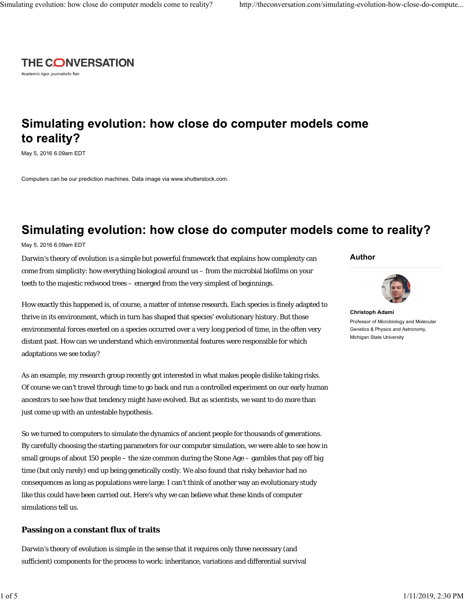

## Simulating evolution: how close do computer models come to reality?

May 5, 2016 6.09am EDT

Computers can be our prediction machines. Data image via www.shutterstock.com.

# Simulating evolution: how close do computer models come to reality?

May 5, 2016 6.09am EDT

Darwin's theory of evolution is a simple but powerful framework that explains how complexity can come from simplicity: how everything biological around us – from the microbial biofilms on your teeth to the majestic redwood trees – emerged from the very simplest of beginnings.

**Author**

**Christoph Adami** Professor of Microbiology and Molecular Genetics & Physics and Astronomy, Michigan State University

How exactly this happened is, of course, a matter of intense research. Each species is finely adapted to thrive in its environment, which in turn has shaped that species' evolutionary history. But those environmental forces exerted on a species occurred over a very long period of time, in the often very distant past. How can we understand which environmental features were responsible for which adaptations we see today?

As an example, my research group recently got interested in what makes people dislike taking risks. Of course we can't travel through time to go back and run a controlled experiment on our early human ancestors to see how that tendency might have evolved. But as scientists, we want to do more than just come up with an untestable hypothesis.

So we turned to computers to simulate the dynamics of ancient people for thousands of generations. By carefully choosing the starting parameters for our computer simulation, we were able to see how in small groups of about 150 people – the size common during the Stone Age – gambles that pay off big time (but only rarely) end up being genetically costly. We also found that risky behavior had no consequences as long as populations were large. I can't think of another way an evolutionary study like this could have been carried out. Here's why we can believe what these kinds of computer simulations tell us.

#### **Passing on a constant flux of traits**

Darwin's theory of evolution is simple in the sense that it requires only three necessary (and sufficient) components for the process to work: inheritance, variations and differential survival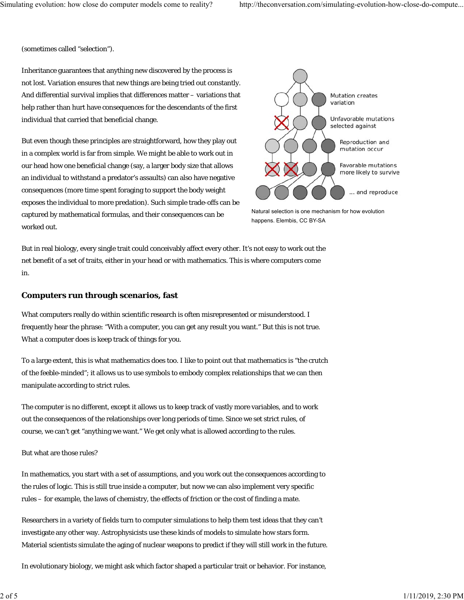(sometimes called "selection").

Inheritance guarantees that anything new discovered by the process is not lost. Variation ensures that new things are being tried out constantly. And differential survival implies that differences matter – variations that help rather than hurt have consequences for the descendants of the first individual that carried that beneficial change.

But even though these principles are straightforward, how they play out in a complex world is far from simple. We might be able to work out in our head how one beneficial change (say, a larger body size that allows an individual to withstand a predator's assaults) can also have negative consequences (more time spent foraging to support the body weight exposes the individual to more predation). Such simple trade-offs can be captured by mathematical formulas, and their consequences can be worked out.



Natural selection is one mechanism for how evolution happens. Elembis, CC BY-SA

But in real biology, every single trait could conceivably affect every other. It's not easy to work out the net benefit of a set of traits, either in your head or with mathematics. This is where computers come in.

#### **Computers run through scenarios, fast**

What computers really do within scientific research is often misrepresented or misunderstood. I frequently hear the phrase: "With a computer, you can get any result you want." But this is not true. What a computer does is keep track of things for you.

To a large extent, this is what mathematics does too. I like to point out that mathematics is "the crutch of the feeble-minded"; it allows us to use symbols to embody complex relationships that we can then manipulate according to strict rules.

The computer is no different, except it allows us to keep track of vastly more variables, and to work out the consequences of the relationships over long periods of time. Since we set strict rules, of course, we can't get "anything we want." We get only what is allowed according to the rules.

But what are those rules?

In mathematics, you start with a set of assumptions, and you work out the consequences according to the rules of logic. This is still true inside a computer, but now we can also implement very specific rules – for example, the laws of chemistry, the effects of friction or the cost of finding a mate.

Researchers in a variety of fields turn to computer simulations to help them test ideas that they can't investigate any other way. Astrophysicists use these kinds of models to simulate how stars form. Material scientists simulate the aging of nuclear weapons to predict if they will still work in the future.

In evolutionary biology, we might ask which factor shaped a particular trait or behavior. For instance,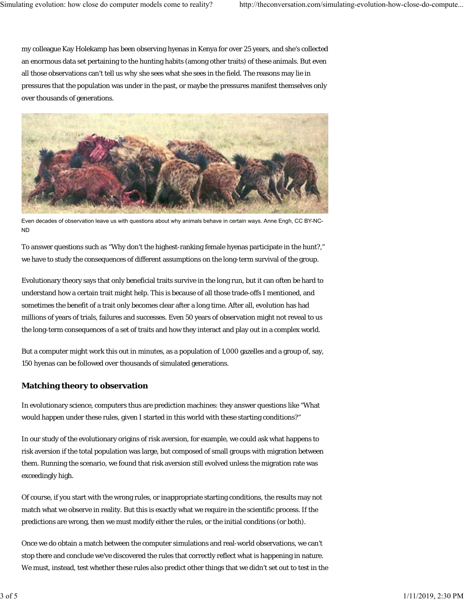my colleague Kay Holekamp has been observing hyenas in Kenya for over 25 years, and she's collected an enormous data set pertaining to the hunting habits (among other traits) of these animals. But even all those observations can't tell us *why* she sees what she sees in the field. The reasons may lie in pressures that the population was under in the past, or maybe the pressures manifest themselves only over thousands of generations.



Even decades of observation leave us with questions about why animals behave in certain ways. Anne Engh, CC BY-NC-ND

To answer questions such as "Why don't the highest-ranking female hyenas participate in the hunt?," we have to study the consequences of different assumptions on the long-term survival of the group.

Evolutionary theory says that only beneficial traits survive in the long run, but it can often be hard to understand how a certain trait might help. This is because of all those trade-offs I mentioned, and sometimes the benefit of a trait only becomes clear after a long time. After all, evolution has had millions of years of trials, failures and successes. Even 50 years of observation might not reveal to us the long-term consequences of a set of traits and how they interact and play out in a complex world.

But a computer might work this out in minutes, as a population of 1,000 gazelles and a group of, say, 150 hyenas can be followed over thousands of simulated generations.

### **Matching theory to observation**

In evolutionary science, computers thus are prediction machines: they answer questions like "What would happen under these rules, given I started in *this* world with *these* starting conditions?"

In our study of the evolutionary origins of risk aversion, for example, we could ask what happens to risk aversion if the total population was large, but composed of small groups with migration between them. Running the scenario, we found that risk aversion still evolved unless the migration rate was exceedingly high.

Of course, if you start with the wrong rules, or inappropriate starting conditions, the results may not match what we observe in reality. But this is exactly what we require in the scientific process. If the predictions are wrong, then we must modify either the rules, or the initial conditions (or both).

Once we do obtain a match between the computer simulations and real-world observations, we can't stop there and conclude we've discovered the rules that correctly reflect what is happening in nature. We must, instead, test whether these rules *also* predict other things that we didn't set out to test in the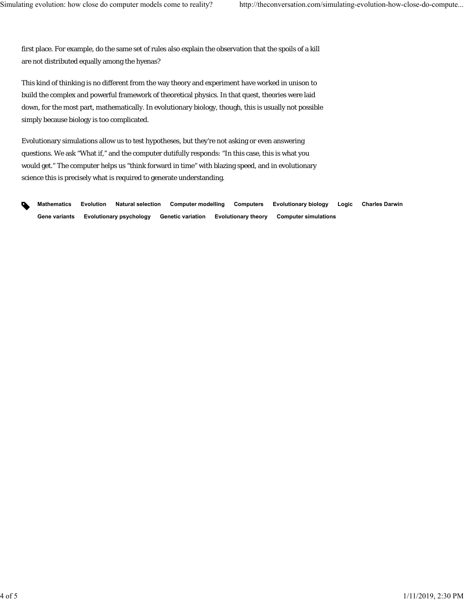first place. For example, do the same set of rules also explain the observation that the spoils of a kill are not distributed equally among the hyenas?

This kind of thinking is no different from the way theory and experiment have worked in unison to build the complex and powerful framework of theoretical physics. In that quest, theories were laid down, for the most part, mathematically. In evolutionary biology, though, this is usually not possible simply because biology is too complicated.

Evolutionary simulations allow us to test hypotheses, but they're not asking or even answering questions. *We* ask "What if," and the computer dutifully responds: "In this case, this is what you would get." The computer helps us "think forward in time" with blazing speed, and in evolutionary science this is precisely what is required to generate understanding.

**Mathematics Evolution Natural selection Computer modelling Computers Evolutionary biology Logic Charles Darwin Gene variants Evolutionary psychology Genetic variation Evolutionary theory Computer simulations**

O